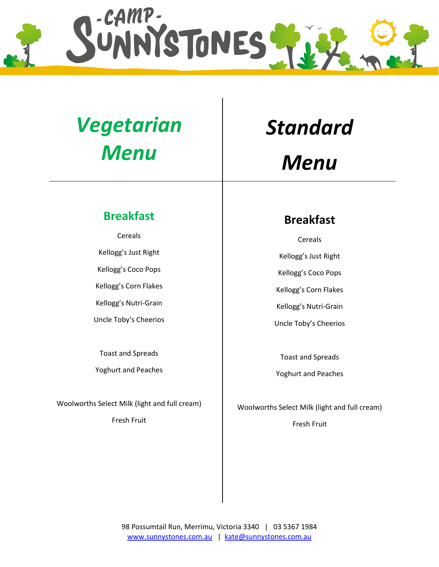

### *Vegetarian Menu*

#### **Breakfast**

Cereals Kellogg's Just Right Kellogg's Coco Pops Kellogg's Corn Flakes Kellogg's Nutri-Grain Uncle Toby's Cheerios

Toast and Spreads

Yoghurt and Peaches

Woolworths Select Milk (light and full cream)

Fresh Fruit

# *Standard*

### *Menu*

#### **Breakfast**

Cereals Kellogg's Just Right Kellogg's Coco Pops Kellogg's Corn Flakes Kellogg's Nutri-Grain Uncle Toby's Cheerios

Toast and Spreads

Yoghurt and Peaches

Woolworths Select Milk (light and full cream) Fresh Fruit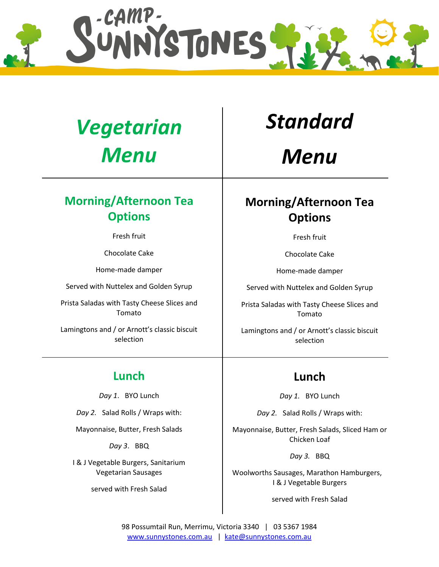

## *Vegetarian Menu*

#### **Morning/Afternoon Tea Options**

Fresh fruit

Chocolate Cake

Home-made damper

Served with Nuttelex and Golden Syrup

Prista Saladas with Tasty Cheese Slices and Tomato

Lamingtons and / or Arnott's classic biscuit selection

#### **Lunch**

*Day 1*. BYO Lunch

*Day 2.* Salad Rolls / Wraps with:

Mayonnaise, Butter, Fresh Salads

*Day 3*. BBQ

I & J Vegetable Burgers, Sanitarium Vegetarian Sausages

served with Fresh Salad

### *Standard*

*Menu*

### **Morning/Afternoon Tea Options**

Fresh fruit

Chocolate Cake

Home-made damper

Served with Nuttelex and Golden Syrup

Prista Saladas with Tasty Cheese Slices and Tomato

Lamingtons and / or Arnott's classic biscuit selection

#### **Lunch**

*Day 1.* BYO Lunch

*Day 2.* Salad Rolls / Wraps with:

Mayonnaise, Butter, Fresh Salads, Sliced Ham or Chicken Loaf

*Day 3.* BBQ

Woolworths Sausages, Marathon Hamburgers, I & J Vegetable Burgers

served with Fresh Salad

98 Possumtail Run, Merrimu, Victoria 3340 | 03 5367 1984 [www.sunnystones.com.au](http://www.sunnystones.com.au/) | [kate@sunnystones.com.au](mailto:kate@sunnystones.com.au)